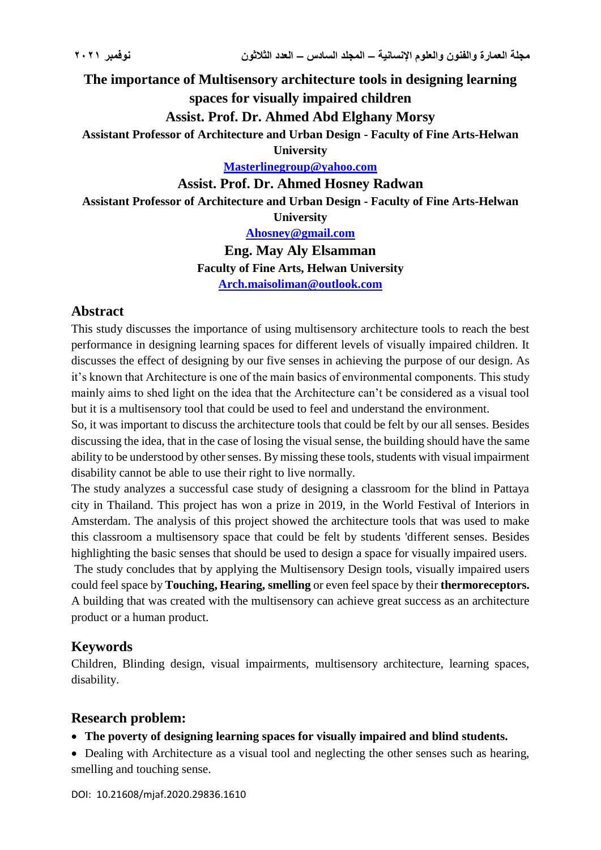# **The importance of Multisensory architecture tools in designing learning spaces for visually impaired children**

**Assist. Prof. Dr. Ahmed Abd Elghany Morsy**

**Assistant Professor of Architecture and Urban Design - Faculty of Fine Arts-Helwan** 

**University** 

**[Masterlinegroup@yahoo.com](mailto:Masterlinegroup@yahoo.com)**

**Assist. Prof. Dr. Ahmed Hosney Radwan**

**Assistant Professor of Architecture and Urban Design - Faculty of Fine Arts-Helwan** 

**University** 

**[Ahosney@gmail.com](mailto:Ahosney@gmail.com)**

**Eng. May Aly Elsamman Faculty of Fine Arts, Helwan University [Arch.maisoliman@outlook.com](mailto:Arch.maisoliman@outlook.com)**

# **Abstract**

This study discusses the importance of using multisensory architecture tools to reach the best performance in designing learning spaces for different levels of visually impaired children. It discusses the effect of designing by our five senses in achieving the purpose of our design. As it's known that Architecture is one of the main basics of environmental components. This study mainly aims to shed light on the idea that the Architecture can't be considered as a visual tool but it is a multisensory tool that could be used to feel and understand the environment.

So, it was important to discuss the architecture tools that could be felt by our all senses. Besides discussing the idea, that in the case of losing the visual sense, the building should have the same ability to be understood by other senses. By missing these tools, students with visual impairment disability cannot be able to use their right to live normally.

The study analyzes a successful case study of designing a classroom for the blind in Pattaya city in Thailand. This project has won a prize in 2019, in the World Festival of Interiors in Amsterdam. The analysis of this project showed the architecture tools that was used to make this classroom a multisensory space that could be felt by students 'different senses. Besides highlighting the basic senses that should be used to design a space for visually impaired users.

The study concludes that by applying the Multisensory Design tools, visually impaired users could feel space by **Touching, Hearing, smelling** or even feel space by their **thermoreceptors.**  A building that was created with the multisensory can achieve great success as an architecture product or a human product.

# **Keywords**

Children, Blinding design, visual impairments, multisensory architecture, learning spaces, disability.

# **Research problem:**

### **The poverty of designing learning spaces for visually impaired and blind students.**

 Dealing with Architecture as a visual tool and neglecting the other senses such as hearing, smelling and touching sense.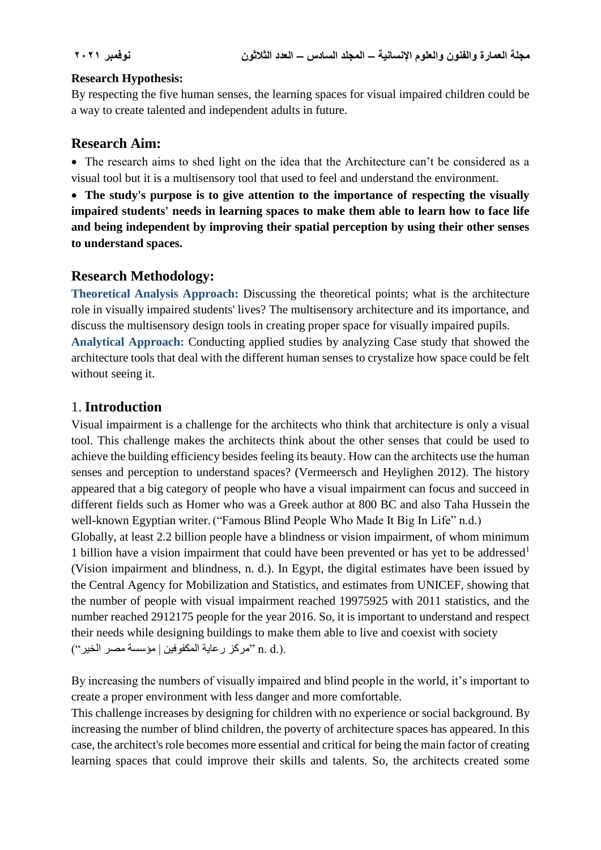#### **Research Hypothesis:**

By respecting the five human senses, the learning spaces for visual impaired children could be a way to create talented and independent adults in future.

### **Research Aim:**

 The research aims to shed light on the idea that the Architecture can't be considered as a visual tool but it is a multisensory tool that used to feel and understand the environment.

 **The study's purpose is to give attention to the importance of respecting the visually impaired students' needs in learning spaces to make them able to learn how to face life and being independent by improving their spatial perception by using their other senses to understand spaces.** 

# **Research Methodology:**

**Theoretical Analysis Approach:** Discussing the theoretical points; what is the architecture role in visually impaired students' lives? The multisensory architecture and its importance, and discuss the multisensory design tools in creating proper space for visually impaired pupils. **Analytical Approach:** Conducting applied studies by analyzing Case study that showed the architecture tools that deal with the different human senses to crystalize how space could be felt without seeing it.

# 1. **Introduction**

Visual impairment is a challenge for the architects who think that architecture is only a visual tool. This challenge makes the architects think about the other senses that could be used to achieve the building efficiency besides feeling its beauty. How can the architects use the human senses and perception to understand spaces? (Vermeersch and Heylighen 2012). The history appeared that a big category of people who have a visual impairment can focus and succeed in different fields such as Homer who was a Greek author at 800 BC and also Taha Hussein the well-known Egyptian writer. ("Famous Blind People Who Made It Big In Life" n.d.) Globally, at least 2.2 billion people have a blindness or vision impairment, of whom minimum 1 billion have a vision impairment that could have been prevented or has yet to be addressed<sup>1</sup> (Vision impairment and blindness, n. d.). In Egypt, the digital estimates have been issued by the Central Agency for Mobilization and Statistics, and estimates from UNICEF, showing that the number of people with visual impairment reached 19975925 with 2011 statistics, and the number reached 2912175 people for the year 2016. So, it is important to understand and respect their needs while designing buildings to make them able to live and coexist with society .(.d .n" مركز رعاية المكفوفين | مؤسسة مصر الخير")

By increasing the numbers of visually impaired and blind people in the world, it's important to create a proper environment with less danger and more comfortable.

This challenge increases by designing for children with no experience or social background. By increasing the number of blind children, the poverty of architecture spaces has appeared. In this case, the architect's role becomes more essential and critical for being the main factor of creating learning spaces that could improve their skills and talents. So, the architects created some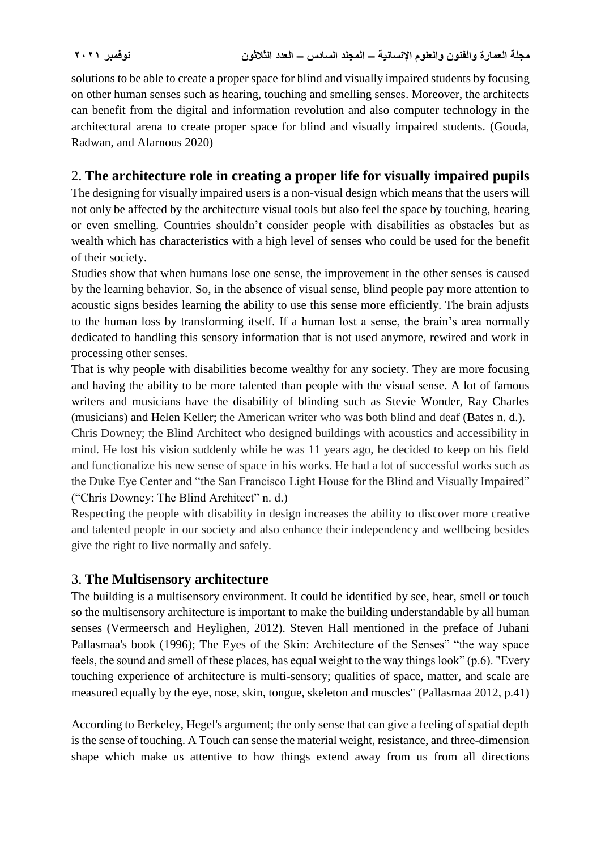solutions to be able to create a proper space for blind and visually impaired students by focusing on other human senses such as hearing, touching and smelling senses. Moreover, the architects can benefit from the digital and information revolution and also computer technology in the architectural arena to create proper space for blind and visually impaired students. (Gouda, Radwan, and Alarnous 2020)

# 2. **The architecture role in creating a proper life for visually impaired pupils**

The designing for visually impaired users is a non-visual design which means that the users will not only be affected by the architecture visual tools but also feel the space by touching, hearing or even smelling. Countries shouldn't consider people with disabilities as obstacles but as wealth which has characteristics with a high level of senses who could be used for the benefit of their society.

Studies show that when humans lose one sense, the improvement in the other senses is caused by the learning behavior. So, in the absence of visual sense, blind people pay more attention to acoustic signs besides learning the ability to use this sense more efficiently. The brain adjusts to the human loss by transforming itself. If a human lost a sense, the brain's area normally dedicated to handling this sensory information that is not used anymore, rewired and work in processing other senses.

That is why people with disabilities become wealthy for any society. They are more focusing and having the ability to be more talented than people with the visual sense. A lot of famous writers and musicians have the disability of blinding such as Stevie Wonder, Ray Charles (musicians) and Helen Keller; the American writer who was both blind and deaf (Bates n. d.).

Chris Downey; the Blind Architect who designed buildings with acoustics and accessibility in mind. He lost his vision suddenly while he was 11 years ago, he decided to keep on his field and functionalize his new sense of space in his works. He had a lot of successful works such as the Duke Eye Center and "the San Francisco Light House for the Blind and Visually Impaired" ("Chris Downey: The Blind Architect" n. d.)

Respecting the people with disability in design increases the ability to discover more creative and talented people in our society and also enhance their independency and wellbeing besides give the right to live normally and safely.

# 3. **The Multisensory architecture**

The building is a multisensory environment. It could be identified by see, hear, smell or touch so the multisensory architecture is important to make the building understandable by all human senses (Vermeersch and Heylighen, 2012). Steven Hall mentioned in the preface of Juhani Pallasmaa's book (1996); The Eyes of the Skin: Architecture of the Senses" "the way space feels, the sound and smell of these places, has equal weight to the way things look" (p.6). "Every touching experience of architecture is multi-sensory; qualities of space, matter, and scale are measured equally by the eye, nose, skin, tongue, skeleton and muscles" (Pallasmaa 2012, p.41)

According to Berkeley, Hegel's argument; the only sense that can give a feeling of spatial depth is the sense of touching. A Touch can sense the material weight, resistance, and three-dimension shape which make us attentive to how things extend away from us from all directions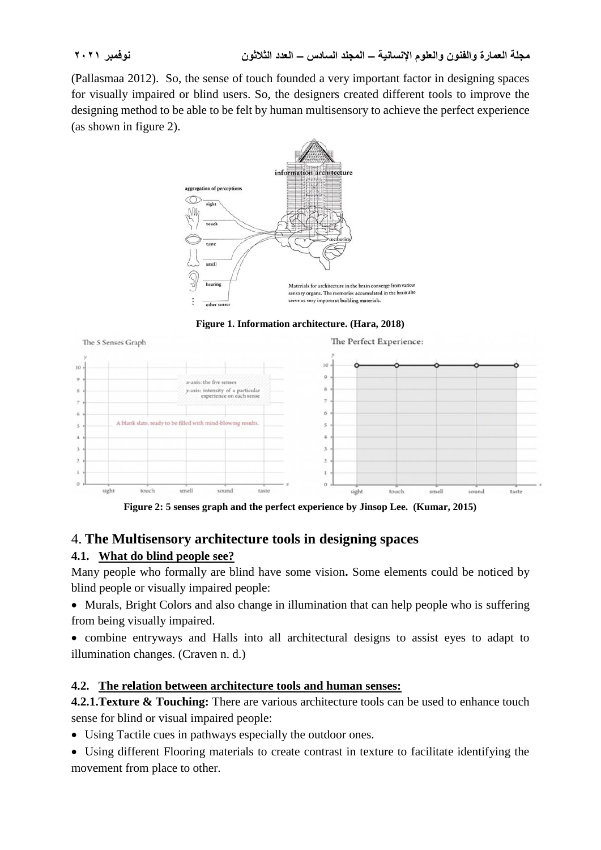(Pallasmaa 2012). So, the sense of touch founded a very important factor in designing spaces for visually impaired or blind users. So, the designers created different tools to improve the designing method to be able to be felt by human multisensory to achieve the perfect experience (as shown in figure 2).



**Figure 1. Information architecture. (Hara, 2018)**



**Figure 2: 5 senses graph and the perfect experience by Jinsop Lee. (Kumar, 2015)**

# 4. **The Multisensory architecture tools in designing spaces**

# **4.1. What do blind people see?**

Many people who formally are blind have some vision**.** Some elements could be noticed by blind people or visually impaired people:

 Murals, Bright Colors and also change in illumination that can help people who is suffering from being visually impaired.

 combine entryways and Halls into all architectural designs to assist eyes to adapt to illumination changes. (Craven n. d.)

# **4.2. The relation between architecture tools and human senses:**

**4.2.1. Texture & Touching:** There are various architecture tools can be used to enhance touch sense for blind or visual impaired people:

Using Tactile cues in pathways especially the outdoor ones.

 Using different Flooring materials to create contrast in texture to facilitate identifying the movement from place to other.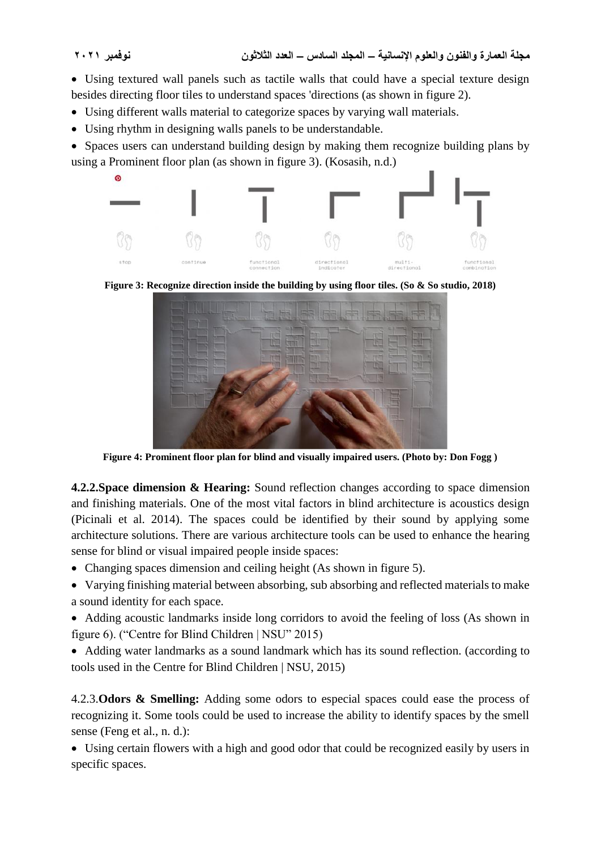Using textured wall panels such as tactile walls that could have a special texture design besides directing floor tiles to understand spaces 'directions (as shown in figure 2).

- Using different walls material to categorize spaces by varying wall materials.
- Using rhythm in designing walls panels to be understandable.

• Spaces users can understand building design by making them recognize building plans by using a Prominent floor plan (as shown in figure 3). (Kosasih, n.d.)



**Figure 3: Recognize direction inside the building by using floor tiles. (So & So studio, 2018)**



**Figure 4: Prominent floor plan for blind and visually impaired users. (Photo by: Don Fogg )**

**4.2.2.Space dimension & Hearing:** Sound reflection changes according to space dimension and finishing materials. One of the most vital factors in blind architecture is acoustics design (Picinali et al. 2014). The spaces could be identified by their sound by applying some architecture solutions. There are various architecture tools can be used to enhance the hearing sense for blind or visual impaired people inside spaces:

- Changing spaces dimension and ceiling height (As shown in figure 5).
- Varying finishing material between absorbing, sub absorbing and reflected materials to make a sound identity for each space.
- Adding acoustic landmarks inside long corridors to avoid the feeling of loss (As shown in figure 6). ("Centre for Blind Children | NSU" 2015)
- Adding water landmarks as a sound landmark which has its sound reflection. (according to tools used in the Centre for Blind Children | NSU, 2015)

4.2.3.**Odors & Smelling:** Adding some odors to especial spaces could ease the process of recognizing it. Some tools could be used to increase the ability to identify spaces by the smell sense (Feng et al., n. d.):

 Using certain flowers with a high and good odor that could be recognized easily by users in specific spaces.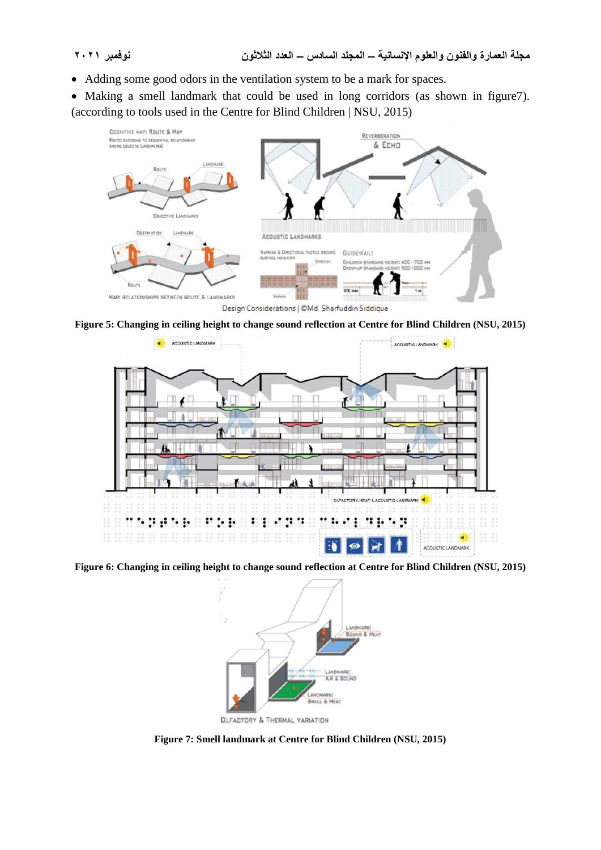Adding some good odors in the ventilation system to be a mark for spaces.

 Making a smell landmark that could be used in long corridors (as shown in figure7). (according to tools used in the Centre for Blind Children | NSU, 2015)



Design Considerations | ©Md. Sharfuddin Siddique

**Figure 5: Changing in ceiling height to change sound reflection at Centre for Blind Children (NSU, 2015)**



**Figure 6: Changing in ceiling height to change sound reflection at Centre for Blind Children (NSU, 2015)**



**QLFACTORY & THERMAL VARIATION** 

**Figure 7: Smell landmark at Centre for Blind Children (NSU, 2015)**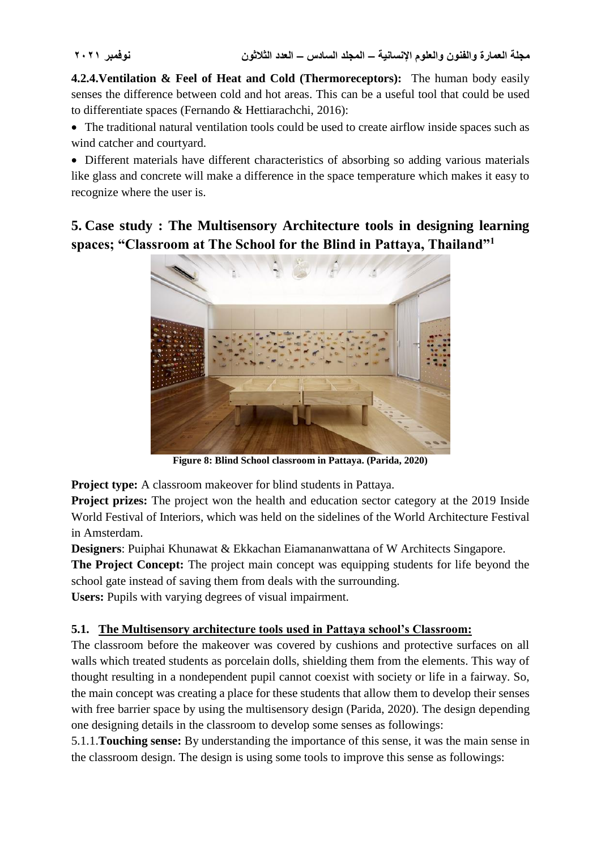**4.2.4.Ventilation & Feel of Heat and Cold (Thermoreceptors):** The human body easily senses the difference between cold and hot areas. This can be a useful tool that could be used to differentiate spaces (Fernando & Hettiarachchi, 2016):

 The traditional natural ventilation tools could be used to create airflow inside spaces such as wind catcher and courtyard.

 Different materials have different characteristics of absorbing so adding various materials like glass and concrete will make a difference in the space temperature which makes it easy to recognize where the user is.

**5. Case study : The Multisensory Architecture tools in designing learning spaces; "Classroom at The School for the Blind in Pattaya, Thailand"<sup>1</sup>**



**Figure 8: Blind School classroom in Pattaya. (Parida, 2020)**

**Project type:** A classroom makeover for blind students in Pattaya.

**Project prizes:** The project won the health and education sector category at the 2019 Inside World Festival of Interiors, which was held on the sidelines of the World Architecture Festival in Amsterdam.

**Designers**: Puiphai Khunawat & Ekkachan Eiamananwattana of W Architects Singapore.

**The Project Concept:** The project main concept was equipping students for life beyond the school gate instead of saving them from deals with the surrounding.

**Users:** Pupils with varying degrees of visual impairment.

### **5.1. The Multisensory architecture tools used in Pattaya school's Classroom:**

The classroom before the makeover was covered by cushions and protective surfaces on all walls which treated students as porcelain dolls, shielding them from the elements. This way of thought resulting in a nondependent pupil cannot coexist with society or life in a fairway. So, the main concept was creating a place for these students that allow them to develop their senses with free barrier space by using the multisensory design (Parida, 2020). The design depending one designing details in the classroom to develop some senses as followings:

5.1.1.**Touching sense:** By understanding the importance of this sense, it was the main sense in the classroom design. The design is using some tools to improve this sense as followings: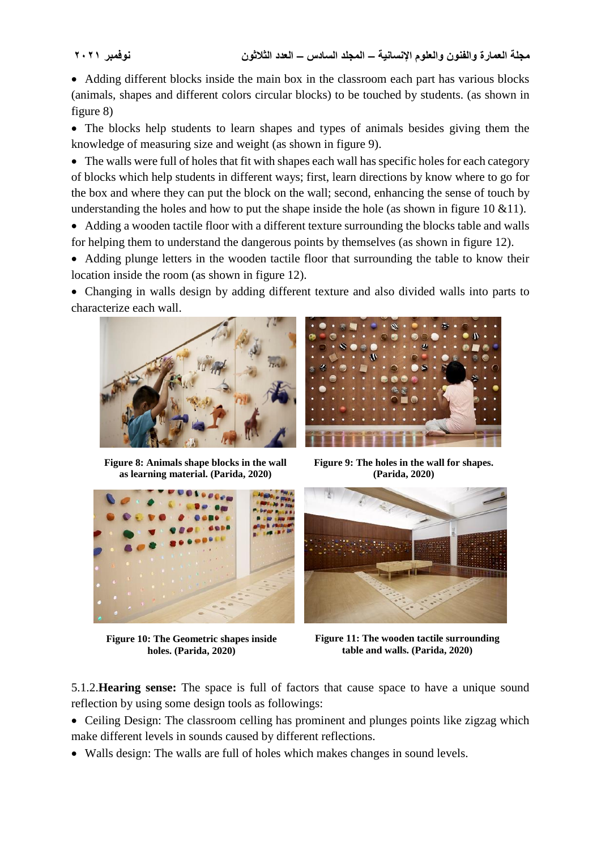• Adding different blocks inside the main box in the classroom each part has various blocks (animals, shapes and different colors circular blocks) to be touched by students. (as shown in figure 8)

 The blocks help students to learn shapes and types of animals besides giving them the knowledge of measuring size and weight (as shown in figure 9).

• The walls were full of holes that fit with shapes each wall has specific holes for each category of blocks which help students in different ways; first, learn directions by know where to go for the box and where they can put the block on the wall; second, enhancing the sense of touch by understanding the holes and how to put the shape inside the hole (as shown in figure 10  $&$  11).

 Adding a wooden tactile floor with a different texture surrounding the blocks table and walls for helping them to understand the dangerous points by themselves (as shown in figure 12).

• Adding plunge letters in the wooden tactile floor that surrounding the table to know their location inside the room (as shown in figure 12).

 Changing in walls design by adding different texture and also divided walls into parts to characterize each wall.



**Figure 8: Animals shape blocks in the wall as learning material. (Parida, 2020)**



**Figure 9: The holes in the wall for shapes. (Parida, 2020)**



**Figure 10: The Geometric shapes inside holes. (Parida, 2020)**



**Figure 11: The wooden tactile surrounding table and walls. (Parida, 2020)**

5.1.2.**Hearing sense:** The space is full of factors that cause space to have a unique sound reflection by using some design tools as followings:

• Ceiling Design: The classroom celling has prominent and plunges points like zigzag which make different levels in sounds caused by different reflections.

Walls design: The walls are full of holes which makes changes in sound levels.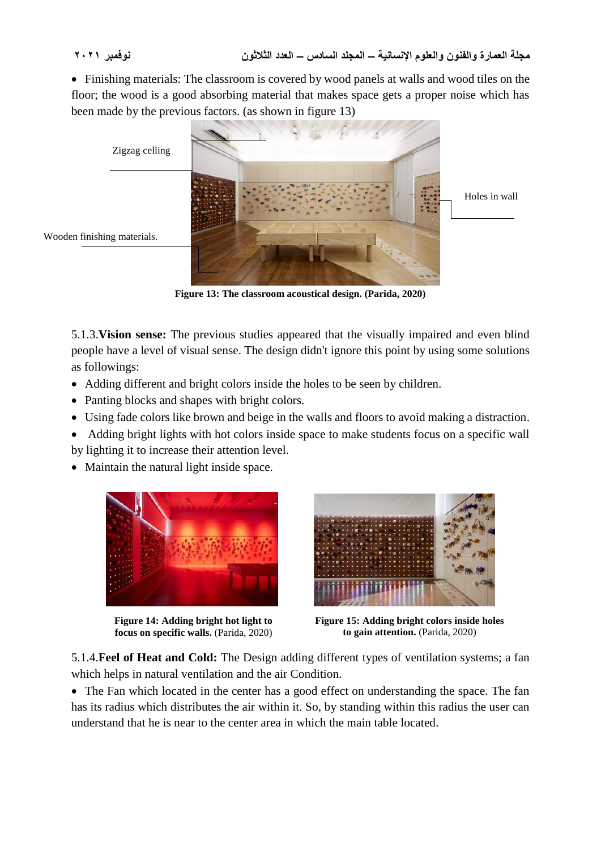Finishing materials: The classroom is covered by wood panels at walls and wood tiles on the floor; the wood is a good absorbing material that makes space gets a proper noise which has been made by the previous factors. (as shown in figure 13)



**Figure 13: The classroom acoustical design. (Parida, 2020)**

5.1.3.**Vision sense:** The previous studies appeared that the visually impaired and even blind people have a level of visual sense. The design didn't ignore this point by using some solutions as followings:

- Adding different and bright colors inside the holes to be seen by children.
- Panting blocks and shapes with bright colors.
- Using fade colors like brown and beige in the walls and floors to avoid making a distraction.
- Adding bright lights with hot colors inside space to make students focus on a specific wall by lighting it to increase their attention level.
- Maintain the natural light inside space.



**Figure 14: Adding bright hot light to focus on specific walls.** (Parida, 2020)



**Figure 15: Adding bright colors inside holes to gain attention.** (Parida, 2020)

5.1.4.**Feel of Heat and Cold:** The Design adding different types of ventilation systems; a fan which helps in natural ventilation and the air Condition.

• The Fan which located in the center has a good effect on understanding the space. The fan has its radius which distributes the air within it. So, by standing within this radius the user can understand that he is near to the center area in which the main table located.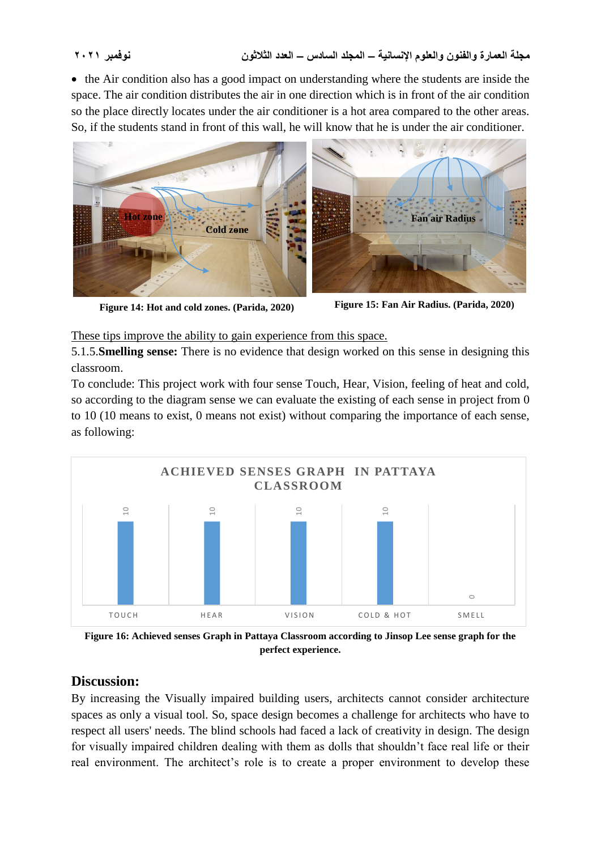• the Air condition also has a good impact on understanding where the students are inside the space. The air condition distributes the air in one direction which is in front of the air condition so the place directly locates under the air conditioner is a hot area compared to the other areas. So, if the students stand in front of this wall, he will know that he is under the air conditioner.



**Figure 14: Hot and cold zones. (Parida, 2020) Figure 15: Fan Air Radius. (Parida, 2020)**

These tips improve the ability to gain experience from this space.

5.1.5.**Smelling sense:** There is no evidence that design worked on this sense in designing this classroom.

To conclude: This project work with four sense Touch, Hear, Vision, feeling of heat and cold, so according to the diagram sense we can evaluate the existing of each sense in project from 0 to 10 (10 means to exist, 0 means not exist) without comparing the importance of each sense, as following:



**Figure 16: Achieved senses Graph in Pattaya Classroom according to Jinsop Lee sense graph for the perfect experience.**

# **Discussion:**

By increasing the Visually impaired building users, architects cannot consider architecture spaces as only a visual tool. So, space design becomes a challenge for architects who have to respect all users' needs. The blind schools had faced a lack of creativity in design. The design for visually impaired children dealing with them as dolls that shouldn't face real life or their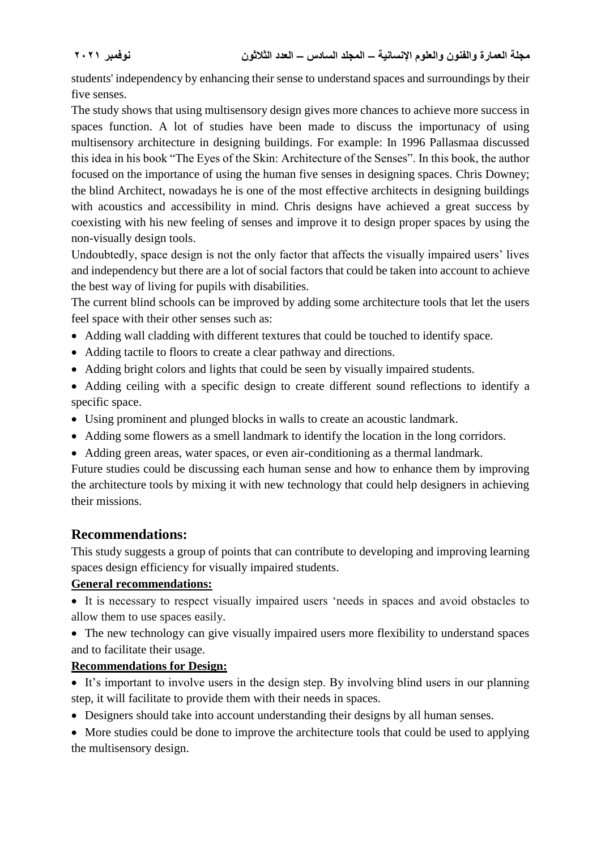students' independency by enhancing their sense to understand spaces and surroundings by their five senses.

The study shows that using multisensory design gives more chances to achieve more success in spaces function. A lot of studies have been made to discuss the importunacy of using multisensory architecture in designing buildings. For example: In 1996 Pallasmaa discussed this idea in his book "The Eyes of the Skin: Architecture of the Senses". In this book, the author focused on the importance of using the human five senses in designing spaces. Chris Downey; the blind Architect, nowadays he is one of the most effective architects in designing buildings with acoustics and accessibility in mind. Chris designs have achieved a great success by coexisting with his new feeling of senses and improve it to design proper spaces by using the non-visually design tools.

Undoubtedly, space design is not the only factor that affects the visually impaired users' lives and independency but there are a lot of social factors that could be taken into account to achieve the best way of living for pupils with disabilities.

The current blind schools can be improved by adding some architecture tools that let the users feel space with their other senses such as:

- Adding wall cladding with different textures that could be touched to identify space.
- Adding tactile to floors to create a clear pathway and directions.
- Adding bright colors and lights that could be seen by visually impaired students.
- Adding ceiling with a specific design to create different sound reflections to identify a specific space.
- Using prominent and plunged blocks in walls to create an acoustic landmark.
- Adding some flowers as a smell landmark to identify the location in the long corridors.
- Adding green areas, water spaces, or even air-conditioning as a thermal landmark.

Future studies could be discussing each human sense and how to enhance them by improving the architecture tools by mixing it with new technology that could help designers in achieving their missions.

### **Recommendations:**

This study suggests a group of points that can contribute to developing and improving learning spaces design efficiency for visually impaired students.

#### **General recommendations:**

 It is necessary to respect visually impaired users 'needs in spaces and avoid obstacles to allow them to use spaces easily.

• The new technology can give visually impaired users more flexibility to understand spaces and to facilitate their usage.

### **Recommendations for Design:**

- It's important to involve users in the design step. By involving blind users in our planning step, it will facilitate to provide them with their needs in spaces.
- Designers should take into account understanding their designs by all human senses.
- More studies could be done to improve the architecture tools that could be used to applying the multisensory design.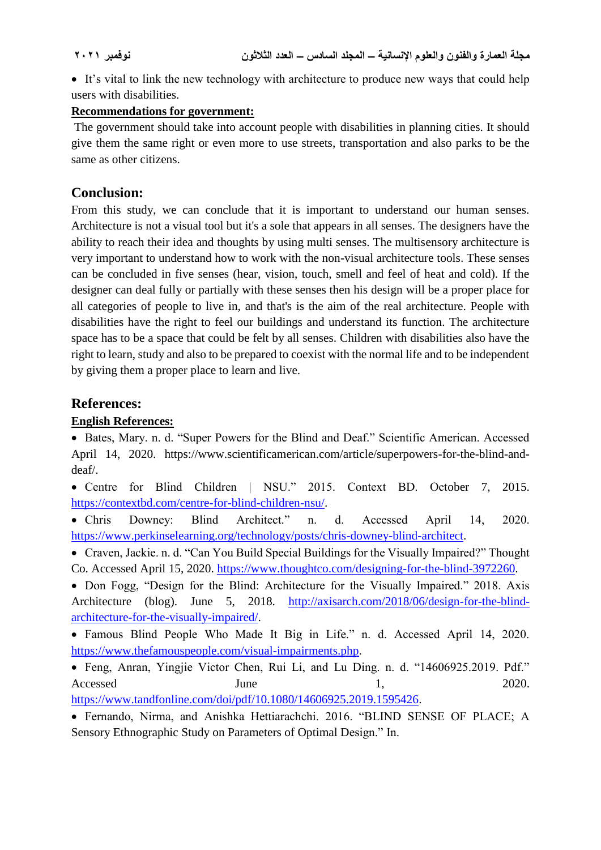It's vital to link the new technology with architecture to produce new ways that could help users with disabilities.

#### **Recommendations for government:**

The government should take into account people with disabilities in planning cities. It should give them the same right or even more to use streets, transportation and also parks to be the same as other citizens.

#### **Conclusion:**

From this study, we can conclude that it is important to understand our human senses. Architecture is not a visual tool but it's a sole that appears in all senses. The designers have the ability to reach their idea and thoughts by using multi senses. The multisensory architecture is very important to understand how to work with the non-visual architecture tools. These senses can be concluded in five senses (hear, vision, touch, smell and feel of heat and cold). If the designer can deal fully or partially with these senses then his design will be a proper place for all categories of people to live in, and that's is the aim of the real architecture. People with disabilities have the right to feel our buildings and understand its function. The architecture space has to be a space that could be felt by all senses. Children with disabilities also have the right to learn, study and also to be prepared to coexist with the normal life and to be independent by giving them a proper place to learn and live.

#### **References:**

#### **English References:**

 Bates, Mary. n. d. "Super Powers for the Blind and Deaf." Scientific American. Accessed April 14, 2020. https://www.scientificamerican.com/article/superpowers-for-the-blind-anddeaf/.

 Centre for Blind Children | NSU." 2015. Context BD. October 7, 2015. [https://contextbd.com/centre-for-blind-children-nsu/.](https://contextbd.com/centre-for-blind-children-nsu/)

 Chris Downey: Blind Architect." n. d. Accessed April 14, 2020. [https://www.perkinselearning.org/technology/posts/chris-downey-blind-architect.](https://www.perkinselearning.org/technology/posts/chris-downey-blind-architect)

 Craven, Jackie. n. d. "Can You Build Special Buildings for the Visually Impaired?" Thought Co. Accessed April 15, 2020. [https://www.thoughtco.com/designing-for-the-blind-3972260.](https://www.thoughtco.com/designing-for-the-blind-3972260)

• Don Fogg, "Design for the Blind: Architecture for the Visually Impaired." 2018. Axis Architecture (blog). June 5, 2018. [http://axisarch.com/2018/06/design-for-the-blind](http://axisarch.com/2018/06/design-for-the-blind-architecture-for-the-visually-impaired/)[architecture-for-the-visually-impaired/.](http://axisarch.com/2018/06/design-for-the-blind-architecture-for-the-visually-impaired/)

 Famous Blind People Who Made It Big in Life." n. d. Accessed April 14, 2020. [https://www.thefamouspeople.com/visual-impairments.php.](https://www.thefamouspeople.com/visual-impairments.php)

 Feng, Anran, Yingjie Victor Chen, Rui Li, and Lu Ding. n. d. "14606925.2019. Pdf." Accessed June 1, 2020. [https://www.tandfonline.com/doi/pdf/10.1080/14606925.2019.1595426.](https://www.tandfonline.com/doi/pdf/10.1080/14606925.2019.1595426)

 Fernando, Nirma, and Anishka Hettiarachchi. 2016. "BLIND SENSE OF PLACE; A Sensory Ethnographic Study on Parameters of Optimal Design." In.